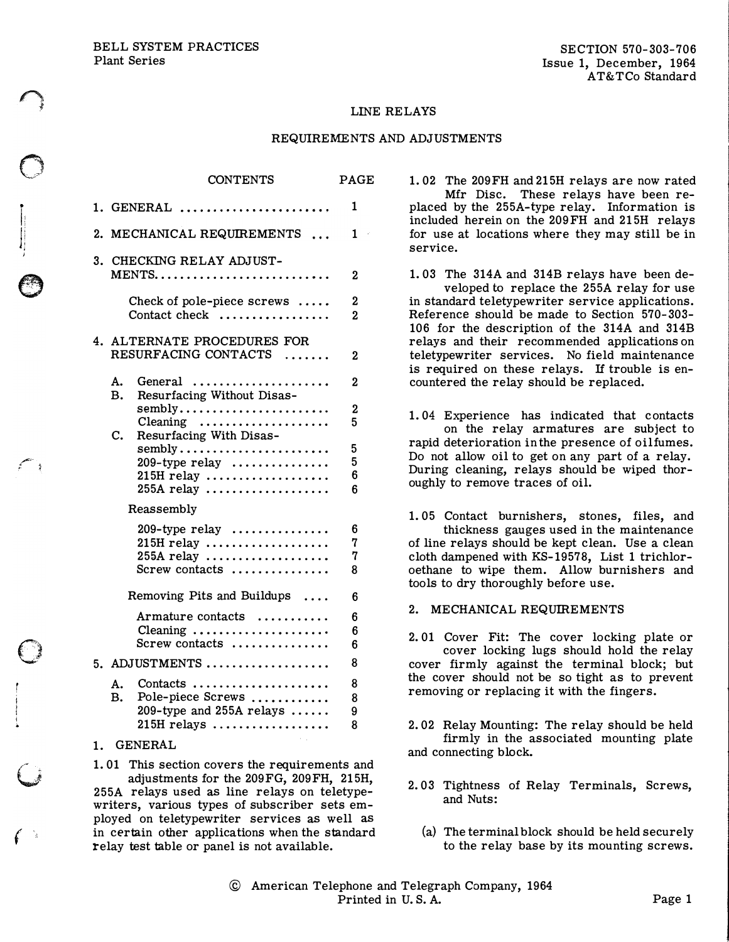BELL SYSTEM PRACTICES Plant Series

 $\bigcirc$ 

 $\ddot{\phantom{a}}$ l

O.

/"'" <sup>L</sup>; �

)

v

 $\int_0^{\frac{\pi}{2}}$ 

### LINE RELAYS

### REQUIREMENTS AND ADJUSTMENTS

|                            | <b>CONTENTS</b>                                                                                                                  | <b>PAGE</b>         |
|----------------------------|----------------------------------------------------------------------------------------------------------------------------------|---------------------|
|                            | 1. GENERAL                                                                                                                       | 1                   |
|                            | 2. MECHANICAL REQUIREMENTS                                                                                                       | 1                   |
| 3.                         | CHECKING RELAY ADJUST-                                                                                                           | 2                   |
|                            | Check of pole-piece screws<br>Contact check                                                                                      | 2<br>$\overline{2}$ |
|                            | 4. ALTERNATE PROCEDURES FOR<br>RESURFACING CONTACTS                                                                              | 2                   |
| А.<br>в.                   | General<br>Resurfacing Without Disas-                                                                                            | 2                   |
| $\mathbf{C}$ .             | sembly<br>Cleaning<br>Resurfacing With Disas-                                                                                    | 2<br>5              |
|                            | sembly<br>$209$ -type relay<br>$215H$ relay<br>$255A$ relay                                                                      | 5<br>5<br>6<br>6    |
| Reassembly                 |                                                                                                                                  |                     |
|                            | $209$ -type relay<br>215H relay<br>$255A$ relay<br>Screw contacts                                                                | 6<br>7<br>7<br>8    |
| Removing Pits and Buildups |                                                                                                                                  | 6                   |
|                            | Armature contacts<br>Cleaning<br>Screw contacts                                                                                  | 6<br>6<br>6         |
| 5. ADJUSTMENTS             |                                                                                                                                  | 8                   |
| А.<br>В.                   | $Context \ldots \ldots \ldots \ldots \ldots \ldots$<br>Pole-piece Screws<br>209-type and 255A relays $\ldots$ .<br>$215H$ relays | 8<br>8<br>9<br>8    |
|                            |                                                                                                                                  |                     |

# 1. GENERAL

1. 01 This section covers the requirements and adjustments for the 209FG, 209FH, 215H, 255A relays used as line relays on teletypewriters, various types of subscriber sets employed on teletypewriter services as well as in certain other applications when the standard relay test table or panel is not available.

1. 02 The 209FH and 215H relays are now rated Mfr Disc. These relays have been replaced by the 255A-type relay. Information is included herein on the 209FH and 215H relays for use at locations where they may still be in service.

1. 03 The 314A and 314B relays have been developed to replace the 255A relay for use in standard teletypewriter service applications. Reference should be made to Section 570-303- 106 for the description of the 314A and 314B relays and their recommended applications on teletypewriter services. No field maintenance is required on these relays. If trouble is encountered the relay should be replaced.

1.04 Experience has indicated that contacts on the relay armatures are subject to rapid deterioration in the presence of oil fumes. Do not allow oil to get on any part of a relay. During cleaning, relays should be wiped thoroughly to remove traces of oil.

1. 05 Contact burnishers, stones, files, and thickness gauges used in the maintenance of line relays should be kept clean. Use a clean cloth dampened with KS-19578, List 1 trichloroethane to wipe them. Allow burnishers and tools to dry thoroughly before use.

### 2. MECHANICAL REQUIREMENTS

2. 01 Cover Fit: The cover locking plate or cover locking lugs should hold the relay cover firmly against the terminal block; but the cover should not be so tight as to prevent removing or replacing it with the fingers.

2. 02 Relay Mounting: The relay should be held firmly in the associated mounting plate and connecting block.

- 2. 03 Tightness of Relay Terminals, Screws, and Nuts:
	- (a) The terminal block should be held securely to the relay base by its mounting screws.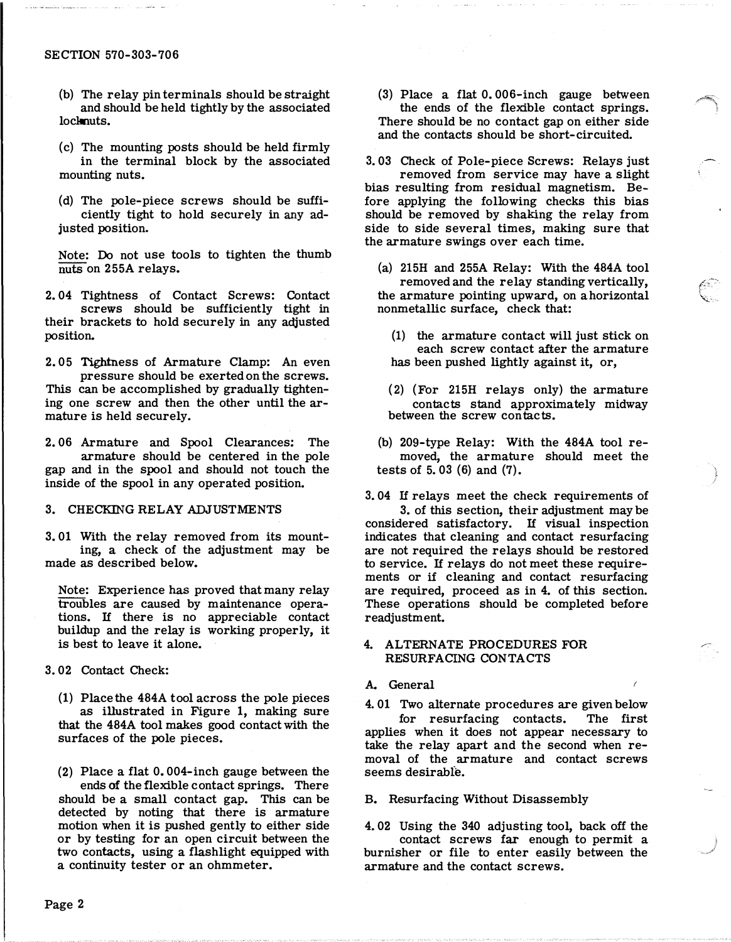- (b) The relay pin terminals should be straight and should be held tightly by the associated locknuts.
- (c) The mounting posts should be held firmly in the terminal block by the associated mounting nuts.
- (d) The pole-piece screws should be sufficiently tight to hold securely in any adjusted position.

Note: Do not use tools to tighten the thumb nuts on 255A relays.

2. 04 Tightness of Contact Screws: Contact screws should be sufficiently tight in their brackets to hold securely in any adjusted position.

2. 05 Tightness of Armature Clamp: An even pressure should be exerted on the screws. This can be accomplished by gradually tightening one screw and then the other until the armature is held securely.

2. 06 Armature and Spool Clearances: The armature should be centered in the pole gap and in the spool and should not touch the inside of the spool in any operated position.

### 3. CHECKING RELAY ADJUSTMENTS

3. 01 With the relay removed from its mounting, a check of the adjustment may be made as described below.

Note: Experience has proved that many relay troubles are caused by maintenance operations. If there is no appreciable contact buildup and the relay is working properly, it is best to leave it alone.

3. 02 Contact Check:

(1) Place the 484A tool across the pole pieces as illustrated in Figure 1, making sure that the 484A tool makes good contact with the surfaces of the pole pieces.

(2) Place a flat 0. 004-inch gauge between the ends of the flexible contact springs. There should be a small contact gap. This can be detected by noting that there is armature motion when it is pushed gently to either side or by testing for an open circuit between the two contacts, using a flashlight equipped with a continuity tester or an ohmmeter.

(3) Place a flat 0. 006-inch gauge between the ends of the flexible contact springs. There should be no contact gap on either side and the contacts should be short-circuited.

3. 03 Check of Pole-piece Screws: Relays just removed from service may have a slight bias resulting from residual magnetism. Before applying the following checks this bias should be removed by shaking the relay from side to side several times, making sure that the armature swings over each time.

- (a) 215H and 255A Relay: With the 484A tool removed and the relay standing vertically, the armature pointing upward, on a horizontal nonmetallic surface, cheek that:
	- (1) the armature contact will just stick on each screw contact after the armature has been pushed lightly against it, or,
	- (2) (For 215H relays only) the armature contacts stand approximately midway between the screw contacts.
- (b) 209-type Relay: With the 484A tool removed; the armature should meet the tests of 5. 03 (6) and (7).

3. 04 If relays meet the check requirements of 3. of this section, their adjustment may be considered satisfactory. If visual inspection indicates that cleaning and contact resurfacing are not required the relays should be restored to service. If relays do not meet these requirements or if cleaning and contact resurfacing are required, proceed as in 4. of this section. These operations should be completed before readjustment.

,-';-

# 4. ALTERNATE PROCEDURES FOR RESURFACING CONTACTS

# A. General

4. 01 Two alternate procedures are given below for resurfacing contacts. The first applies when it does not appear necessary to take the relay apart and the second when removal of the armature and contact screws seems desirable.

### B. Resurfacing Without Disassembly

4. 02 Using the 340 adjusting tool, back off the contact screws far enough to permit a burnisher or file to enter easily between the armature and the contact screws.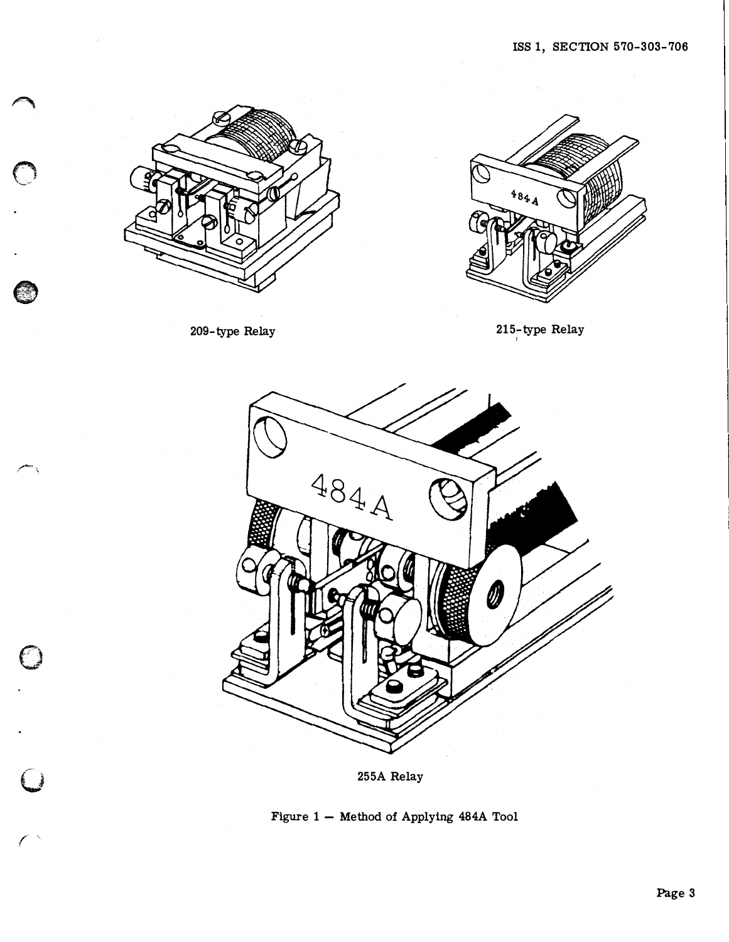

209-type Relay

G

 $\bigcirc$ 



215-type Relay



255A Relay

Figure 1 - Method of Applying 484A Tool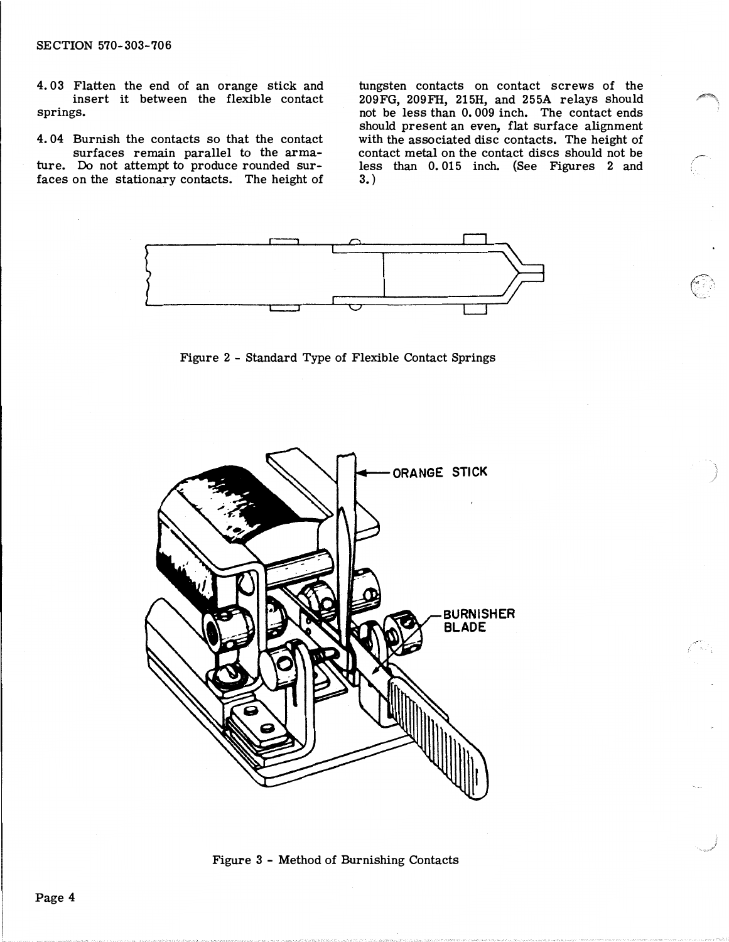# SECTION 570-303-706

4. 03 Flatten the end of an orange stick and insert it between the flexible contact springs.

4. 04 Burnish the contacts so that the contact surfaces remain parallel to the armature. Do not attempt to produce rounded surfaces on the stationary contacts. The height of

tungsten contacts on contact screws of the 209FG, 209FH, 215H, and 255A relays should not be less than 0. 009 inch. The contact ends should present an even, flat surface alignment with the associated disc contacts. The height of contact metal on the contact discs should not be less than 0. 015 inch. {See Figures 2 and 3.)

> f.,  $\checkmark$



Figure 2 - Standard Type of Flexible Contact Springs



Figure 3 - Method of Burnishing Contacts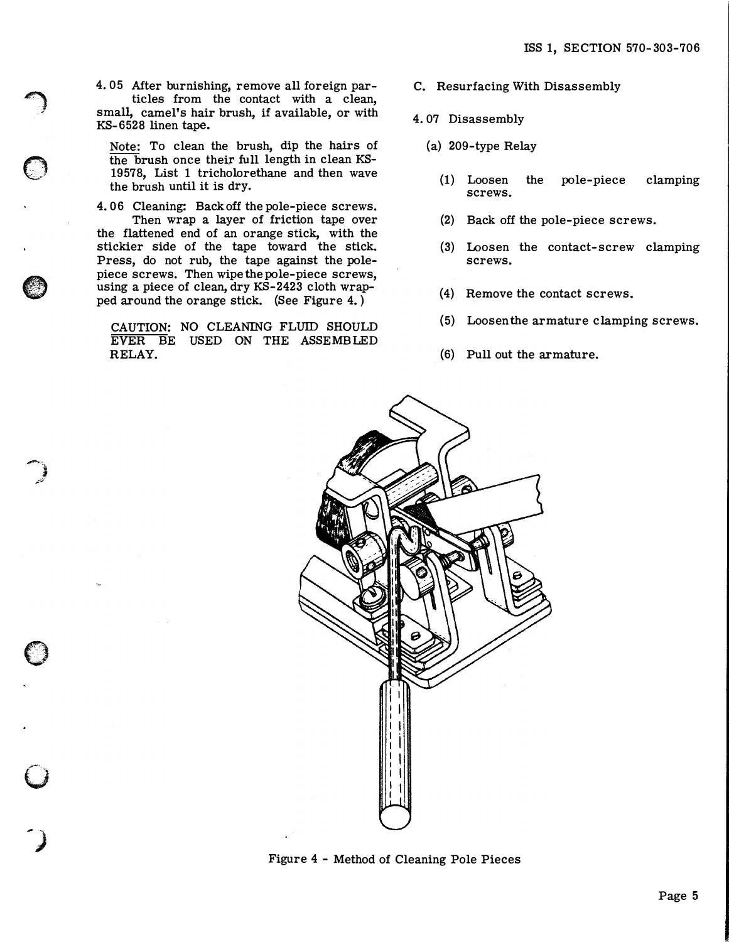4. 05 Mter burnishing, remove all foreign particles from the contact with a clean, small, camel's hair brush, if available, or with KS- 6528 linen tape.

 $\bigcap$ 

 $\bigcirc$ 

**e** 

 $\overline{\phantom{a}}$ .<br>مختتم

 $\mathbf{\mathbf{\mathbb{O}}}$ 

 $\mathbf{C}$ 

') Note: To clean the brush, dip the hairs of the brush once their full length in clean KS-19578, List 1 tricholorethane and then wave the brush until it is dry.

4. 06 Cleaning: Back off the pole-piece screws. Then wrap a layer of friction tape over the flattened end of an orange stick, with the stickier side of the tape toward the stick. Press, do not rub, the tape against the polepiece screws. Then wipe the pole-piece screws, using a piece of clean, dry KS-2423 cloth wrapped around the orange stick. (See Figure 4. )

CAUTION: NO CLEANING FLUID SHOULD EVER BE USED ON THE ASSEMBLED RELAY.

- C. Resurfacing With Disassembly
- 4. 07 Disassembly
	- (a) 209-type Relay
		- (1) Loosen the pole-piece clamping screws.
		- (2) Back off the pole-piece screws.
		- (3) Loosen the contact-screw clamping screws.
		- (4) Remove the contact screws.
		- (5) Loosenthe armature clamping screws.
		- (6) Pull out the armature.



Figure 4 - Method of Cleaning Pole Pieces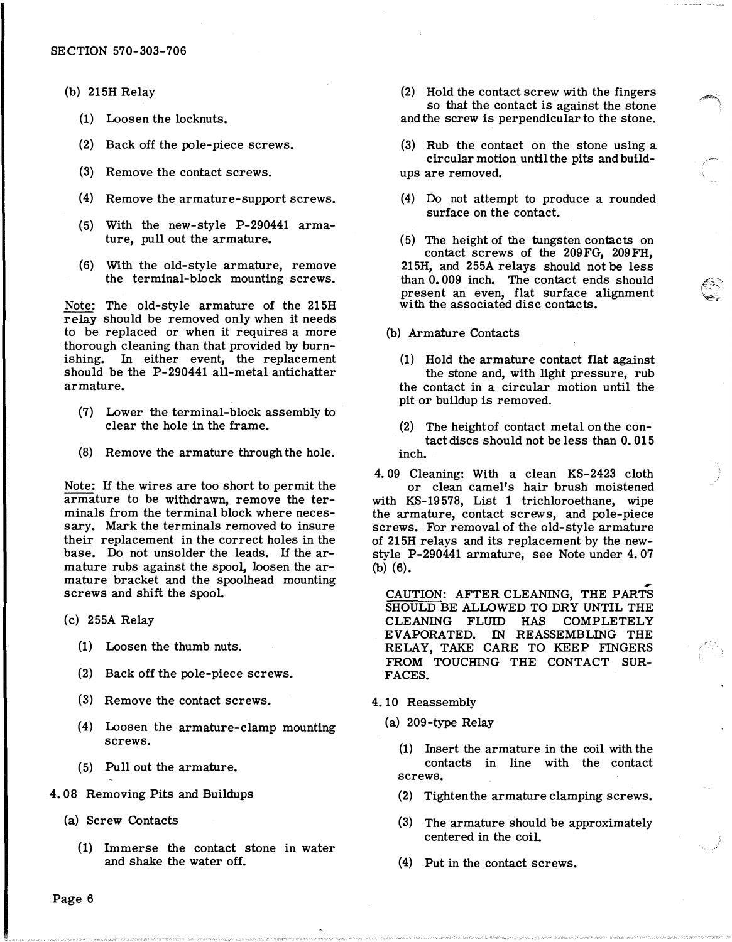- (b) 215H Relay
	- (1) Loosen the locknuts.
	- (2) Back off the pole-piece screws.
	- (3} Remove the contact screws.
	- (4) Remove the armature-support screws.
	- (5) With the new-style P-290441 armature, pull out the armature.
	- (6} With the old-style armature, remove the terminal-block mounting screws.

Note: The old-style armature of the 215H relay should be removed only when it needs to be replaced or when it requires a more thorough cleaning than that provided by burnishing. In either event, the replacement should be the P-290441 all-metal antichatter armature.

- (7) Lower the terminal-block assembly to clear the hole in the frame.
- (8) Remove the armature through the hole.

Note: If the wires are too short to permit the armature to be withdrawn, remove the terminals from the terminal block where necessary. Mark the terminals removed to insure their replacement in the correct holes in the base. Do not unsolder the leads. If the armature rubs against the spool, loosen the armature bracket and the spoolhead mounting screws and shift the spool.

- (c) 255A Relay
	- (1) Loosen the thumb nuts.
	- (2) Back off the pole-piece screws.
	- (3) Remove the contact screws.
	- (4) Loosen the armature-clamp mounting screws.
	- (5) Pull out the armature.
- 4. 08 Removing Pits and Buildups
	- (a) Screw Contacts
		- (1) Immerse the contact stone in water and shake the water off.

(2) Hold the contact screw with the fingers so that the contact is against the stone and the screw is perpendicular to the stone.

- (3) Rub the contact on the stone using a circular motion until the pits and buildups are removed.
- (4) Do not attempt to produce a rounded surface on the contact.
- (5) The height of the tungsten contacts on contact screws of the 209FG, 209FH, 215H, and 255A relays should not be less than 0. 009 inch. The contact ends should present an even, flat surface alignment with the associated disc contacts.

# (b) Armature Contacts

- (1) Hold the armature contact flat against the stone and, with light pressure, rub the contact in a circular motion until the pit or buildup is removed.
- (2) The height of contact metal on the contact discs should not be less than 0. 015 inch.
- 4. 09 Cleaning: With a clean KS-2423 cloth or clean camel's hair brush moistened with KS-19 578, List 1 trichloroethane, wipe the armature, contact screws, and pole-piece screws. For removal of the old-style armature of 215H relays and its replacement by the newstyle P-290441 armature, see Note under 4. 07 (b) (6).

CAUTION: AFTER CLEANING, THE PARTS SHOULD BE ALLOWED TO DRY UNTIL THE CLEANING FLUID HAS COMPLETELY EVAPORATED. IN REASSEMBLING THE RELAY, TAKE CARE TO KEEP FINGERS FROM TOUCHING THE CONTACT SUR-FACES.

- 4. 10 Reassembly
	- (a) 209-type Relay

(1) Insert the armature in the coil with the contacts in line with the contact screws.

- (2) Tighten the armature clamping screws.
- (3) The armature should be approximately centered in the coiL
- (4) Put in the contact screws.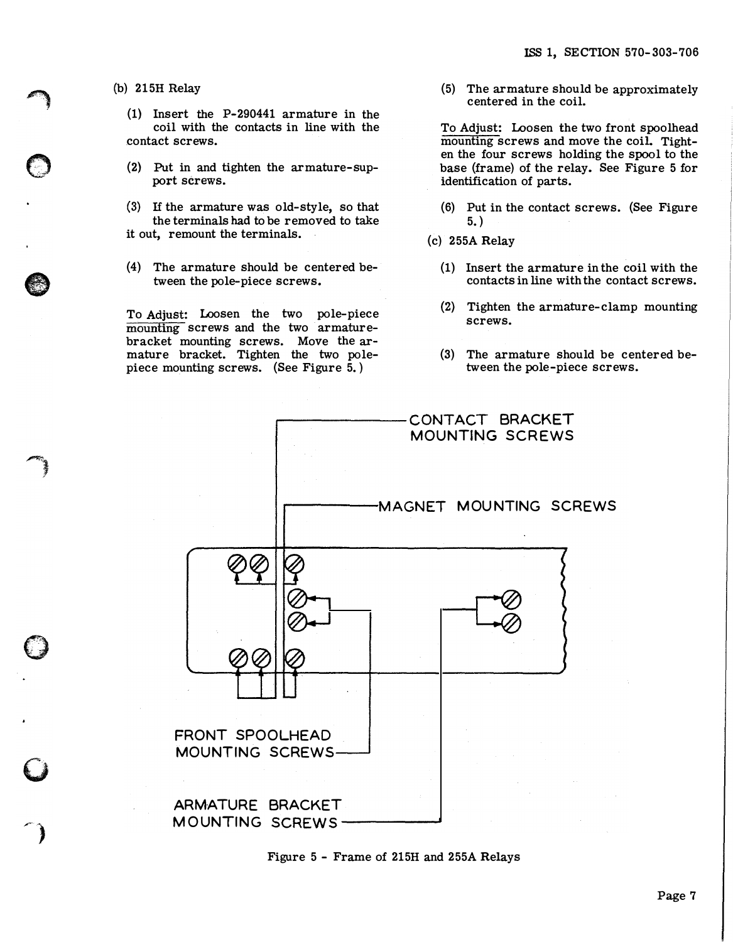(b) 215H Relay

 $\rightarrow$ 

 $\bigcirc$ 

)

 $\mathbf{\mathcal{O}}$ 

 $\mathbf{C}$ 

 $\bigcap$ 

(1} Insert the P-290441 armature in the coil with the contacts in line with the contact screws.

- (2} Put in and tighten the armature-support screws.
- (3) If the armature was old-style, so that the terminals had to be removed to take it out, remount the terminals.
- (4) The armature should be centered between the pole-piece screws.

To Adjust: Loosen the two pole-piece mounting screws and the two armaturebracket mounting screws. Move the armature bracket. Tighten the two polepiece mounting screws. (See Figure 5. )

(5) The armature should be approximately centered in the coil.

To Adjust: Loosen the two front spoolhead mounting screws and move the coil. Tighten the four screws holding the spool to the base (frame) of the relay. See Figure 5 for identification of parts.

- (6) Put in the contact screws. (See Figure 5. )
- (c) 255A Relay
	- (1) Insert the armature in the coil with the contacts in line with the contact screws.
	- (2) Tighten the armature-clamp mounting screws.
	- (3) The armature should be centered be tween the pole-piece screws.



Figure 5 - Frame of 215H and 255A Relays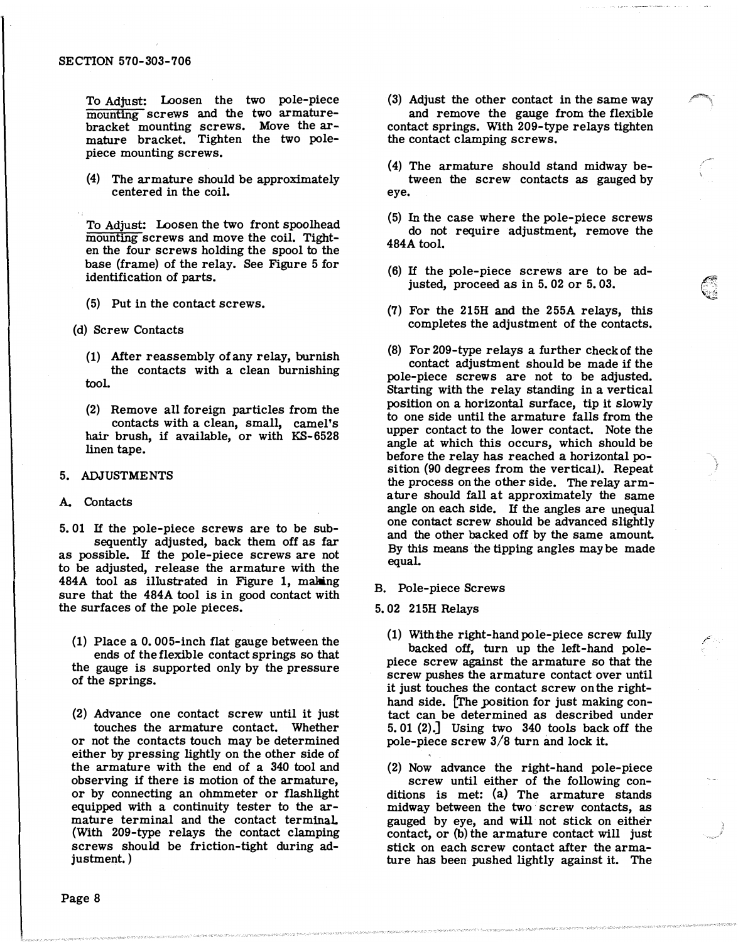#### SECTION 570-303-706

To Adjust: Loosen the two pole-piece mounting screws and the two armaturebracket mounting screws. Move the armature bracket. Tighten the two polepiece mounting screws.

{4) The armature should be approximately centered in the coil.

To Adjust: Loosen the two front spoolhead mounting screws and move the coil. Tighten the four screws holding the spool to the base (frame) of the relay. See Figure 5 for identification of parts.

- (5) Put in the contact screws.
- {d) Screw Contacts
	- (1) After reassembly of any relay, burnish the contacts with a clean burnishing tool.
	- {2) Remove all foreign particles from the contacts with a clean, small, camel's hair brush, if available, or with KS-6528 linen tape.

### 5. ADJUSTMENTS

# A. Contacts

5. 01 If the pole-piece screws are to be subsequently adjusted, back them off as far as possible. If the pole-piece screws are not to be adjusted, release the armature with the 484A tool as illustrated in Figure 1, making sure that the 484A tool is in good contact with the surfaces of the pole pieces.

(1) Place a 0. 005-inch flat gauge between the ends of the flexible contact springs so that the gauge is supported only by the pressure of the springs.

{2) Advance one contact screw until it just touches the armature contact. Whether or not the contacts touch may be determined either by pressing lightly on the other side of the armature with the end of a 340 tool and observing if there is motion of the armature, or by connecting an ohmmeter or flashlight equipped with a continuity tester to the armature terminal and the contact terminal. (With 209-type relays the contact clamping screws should be friction-tight during adjustment.)

(3) Adjust the other contact in the same way and remove the gauge from the flexible contact springs. With 209-type relays tighten the contact clamping screws.

- { 4) The armature should stand midway between the screw contacts as gauged by eye.
- (5) In the case where the pole-piece screws do not require adjustment, remove the 484A tool.
- (6) If the pole-piece screws are to be adjusted, proceed as in 5. 02 or 5. 03.

�  $\;$ 

/

- {7) For the 215H and the 255A relays, this completes the adjustment of the contacts.
- {8) For 209-type relays a further check of the contact adjustment should be made if the pole-piece screws are not to be adjusted. Starting with the relay standing in a vertical position on a horizontal surface, tip it slowly to one side until the armature falls from the upper contact to the lower contact. Note the angle at which this occurs, which should be before the relay has reached a horizontal posi tion (90 degrees from the vertical). Repeat the process on the other side. The relay armature should fall at approximately the same angle on each side. If the angles are unequal one contact screw should be advanced slightly and the other backed off by the same amount. By this means the tipping angles may be made equal.

### B. Pole-piece Screws

#### 5. 02 215H Relays

(1) With the right-hand pole-piece screw fully backed off, turn up the left-hand polepiece screw against the armature so that the screw pushes the armature contact over until it just touches the contact screw on the righthand side. The position for just making contact can be determined as described under 5. 01 {2).] Using two 340 tools back off the pole-piece screw 3/8 turn and lock it.

(2) Now advance the right-hand pole-piece screw until either of the following conditions is met: (a) The armature stands midway between the two screw contacts, as gauged by eye, and will not stick on either contact, or (b) the armature contact will just stick on each screw contact after the armature has been pushed lightly against it. The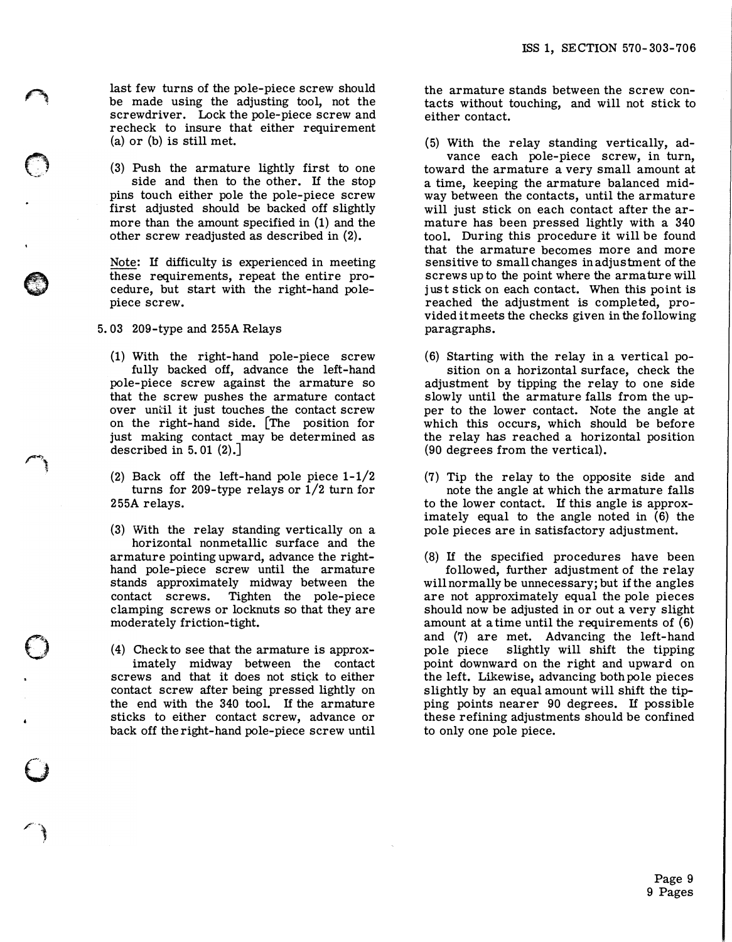last few turns of the pole-piece screw should be made using the adjusting tool, not the screwdriver. Lock the pole-piece screw and recheck to insure that either requirement (a) or (b) is still met.

(3) Push the armature lightly first to one side and then to the other. If the stop pins touch either pole the pole-piece screw first adjusted should be backed off slightly more than the amount specified in (1) and the other screw readjusted as described in (2).

Note: If difficulty is experienced in meeting these requirements, repeat the entire procedure, but start with the right-hand polepiece screw.

5. 03 209-type and 255A Relays

 $\curvearrowleft$ 

 $\bigcirc$ 

 $\mathscr{P}$ Ţ,

 $\bigcirc$ 

 $\bigcirc$ 

r ��

(1) With the right-hand pole-piece screw fully backed off, advance the left-hand pole-piece screw against the armature so that the screw pushes the armature contact over until it just touches the contact screw on the right-hand side. (The position for just making contact may be determined as described in  $5.01$   $(2)$ .

(2) Back off the left-hand pole piece 1-1/2 turns for 209-type relays or 1/2 turn for 255A relays.

(3) With the relay standing vertically on a horizontal nonmetallic surface and the armature pointing upward, advance the righthand pole-piece screw until the armature stands approximately midway between the contact screws. Tighten the pole-piece clamping screws or locknuts so that they are moderately friction-tight.

(4) Check to see that the armature is approximately midway between the contact screws and that it does not stick to either contact screw after being pressed lightly on the end with the 340 tool. If the armature sticks to either contact screw, advance or back off the right-hand pole-piece screw until

the armature stands between the screw contacts without touching, and will not stick to either contact.

(5) With the relay standing vertically, advance each pole-piece screw, in turn, toward the armature a very small amount at a time, keeping the armature balanced midway between the contacts, until the armature will just stick on each contact after the armature has been pressed lightly with a 340 tool. During this procedure it will be found that the armature becomes more and more sensitive to small changes in adjustment of the screws up to the point where the armature will just stick on each contact. When this point is reached the adjustment is completed, provided it meets the checks given in the following paragraphs.

(6) Starting with the relay in a vertical position on a horizontal surface, check the adjustment by tipping the relay to one side slowly until the armature falls from the upper to the lower contact. Note the angle at which this occurs, which should be before the relay has reached a horizontal position (90 degrees from the vertical).

(7) Tip the relay to the opposite side and note the angle at which the armature falls to the lower contact. If this angle is approximately equal to the angle noted in  $(6)$  the pole pieces are in satisfactory adjustment.

(8) If the specified procedures have been followed, further adjustment of the relay will normally be unnecessary; but if the angles are not approximately equal the pole pieces should now be adjusted in or out a very slight amount at a time until the requirements of (6) and (7) are met. Advancing the left-hand pole piece slightly will shift the tipping point downward on the right and upward on the left. Likewise, advancing both pole pieces slightly by an equal amount will shift the tipping points nearer 90 degrees. If possible these refining adjustments should be confined to only one pole piece.